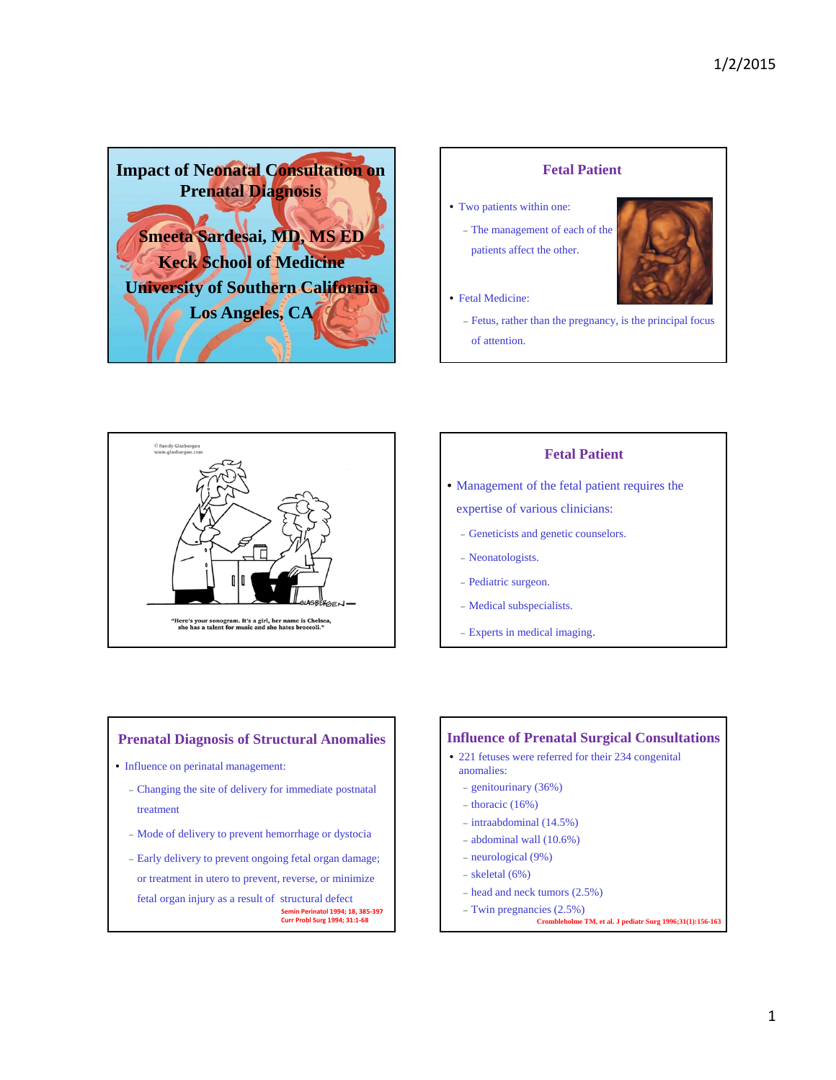





# **Fetal Patient**

- Management of the fetal patient requires the
	- expertise of various clinicians:
	- Geneticists and genetic counselors.
	- Neonatologists.
	- Pediatric surgeon.
	- Medical subspecialists.
	- Experts in medical imaging.

## **Prenatal Diagnosis of Structural Anomalies**

- Influence on perinatal management:
	- Changing the site of delivery for immediate postnatal treatment
	- Mode of delivery to prevent hemorrhage or dystocia
	- Early delivery to prevent ongoing fetal organ damage; or treatment in utero to prevent, reverse, or minimize fetal organ injury as a result of structural defect **Semin Perinatol 1994; 18, 385‐397 Curr Probl Surg 1994; 31:1‐68**

## **Influence of Prenatal Surgical Consultations**

- 221 fetuses were referred for their 234 congenital anomalies:
	- genitourinary (36%)
	- $-$  thoracic (16%)
	- intraabdominal (14.5%)
	- abdominal wall (10.6%)
	- neurological (9%)
	- $-$  skeletal (6%)
	- head and neck tumors (2.5%)
	- Twin pregnancies (2.5%)
		- **Crombleholme TM, et al. J pediatr Surg 1996;31(1):156-163**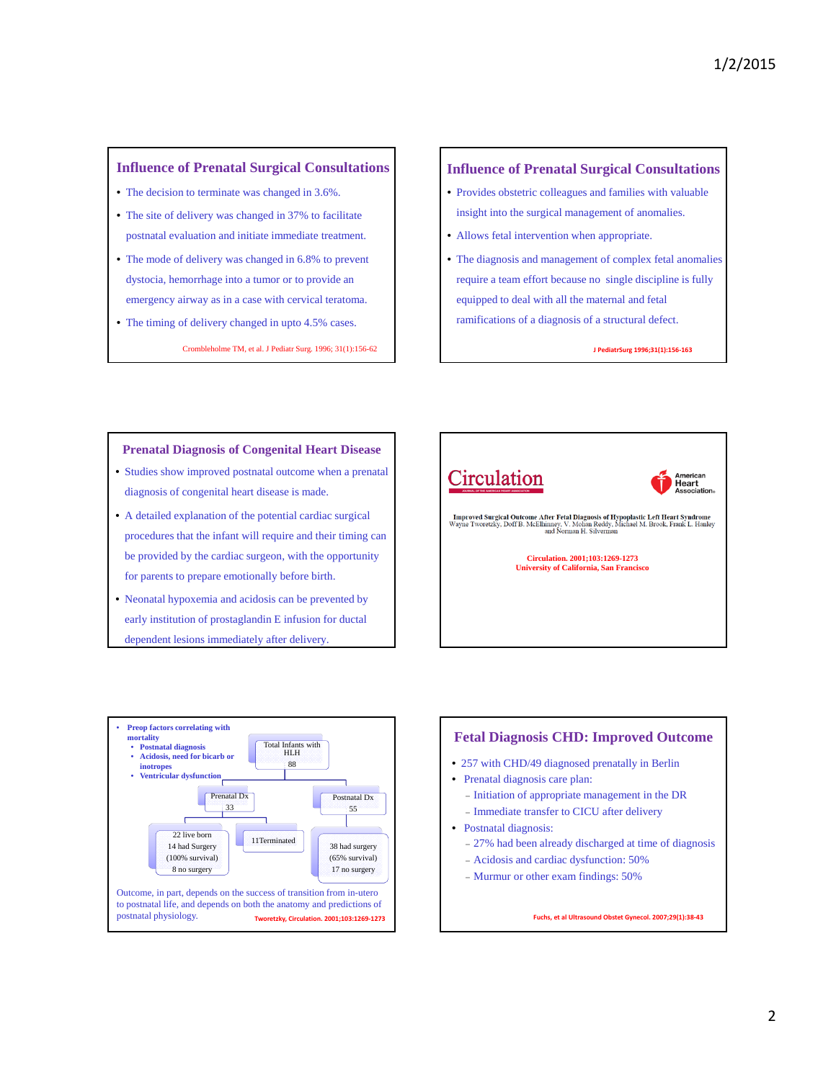## **Influence of Prenatal Surgical Consultations**

- The decision to terminate was changed in 3.6%.
- The site of delivery was changed in 37% to facilitate postnatal evaluation and initiate immediate treatment.
- The mode of delivery was changed in 6.8% to prevent dystocia, hemorrhage into a tumor or to provide an emergency airway as in a case with cervical teratoma.
- The timing of delivery changed in upto 4.5% cases. Crombleholme TM, et al. J Pediatr Surg. 1996; 31(1):156-62

### **Influence of Prenatal Surgical Consultations**

- Provides obstetric colleagues and families with valuable insight into the surgical management of anomalies.
- Allows fetal intervention when appropriate.
- The diagnosis and management of complex fetal anomalies require a team effort because no single discipline is fully equipped to deal with all the maternal and fetal ramifications of a diagnosis of a structural defect.

**J PediatrSurg 1996;31(1):156‐163**

### **Prenatal Diagnosis of Congenital Heart Disease**

- Studies show improved postnatal outcome when a prenatal diagnosis of congenital heart disease is made.
- A detailed explanation of the potential cardiac surgical procedures that the infant will require and their timing can be provided by the cardiac surgeon, with the opportunity for parents to prepare emotionally before birth.
- Neonatal hypoxemia and acidosis can be prevented by early institution of prostaglandin E infusion for ductal dependent lesions immediately after delivery.





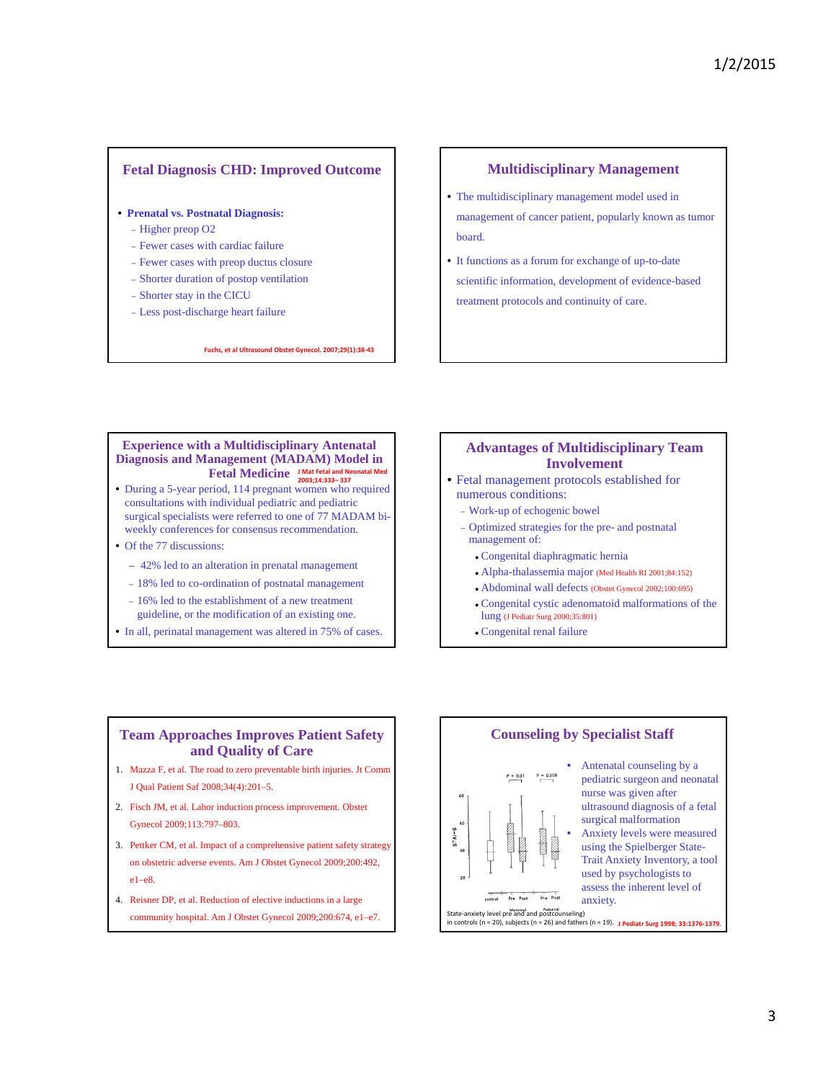## **Fetal Diagnosis CHD: Improved Outcome**

- **Prenatal vs. Postnatal Diagnosis:**
	- Higher preop O2
	- Fewer cases with cardiac failure
	- Fewer cases with preop ductus closure
	- Shorter duration of postop ventilation
	- Shorter stay in the CICU
	- Less post-discharge heart failure

#### **Fuchs, et al Ultrasound Obstet Gynecol. 2007;29(1):38‐43**

### **Multidisciplinary Management**

- The multidisciplinary management model used in management of cancer patient, popularly known as tumor board.
- It functions as a forum for exchange of up-to-date scientific information, development of evidence-based treatment protocols and continuity of care.

## **Experience with a Multidisciplinary Antenatal Diagnosis and Management (MADAM) Model in Fetal Medicine J Mat Fetal and Neonatal Med 2003;14:333– 337**

- During a 5-year period, 114 pregnant women who required consultations with individual pediatric and pediatric surgical specialists were referred to one of  $77$  MADAM biweekly conferences for consensus recommendation.
- Of the 77 discussions:
	- 42% led to an alteration in prenatal management
	- 18% led to co-ordination of postnatal management
	- 16% led to the establishment of a new treatment
	- guideline, or the modification of an existing one.
- In all, perinatal management was altered in 75% of cases.

### **Advantages of Multidisciplinary Team Involvement**

- Fetal management protocols established for numerous conditions:
	- Work-up of echogenic bowel
	- Optimized strategies for the pre- and postnatal management of:
		- Congenital diaphragmatic hernia
		- Alpha-thalassemia major (Med Health RI 2001;84:152)
		- Abdominal wall defects (Obstet Gynecol 2002;100:695)
		- Congenital cystic adenomatoid malformations of the lung (J Pediatr Surg 2000;35:801)
		- Congenital renal failure

## **Team Approaches Improves Patient Safety and Quality of Care**

- 1. Mazza F, et al. The road to zero preventable birth injuries. Jt Comm J Qual Patient Saf 2008;34(4):201–5.
- 2. Fisch JM, et al. Labor induction process improvement. Obstet Gynecol 2009;113:797–803.
- 3. Pettker CM, et al. Impact of a comprehensive patient safety strategy on obstetric adverse events. Am J Obstet Gynecol 2009;200:492, e1–e8.
- 4. Reisner DP, et al. Reduction of elective inductions in a large community hospital. Am J Obstet Gynecol 2009;200:674, e1–e7.

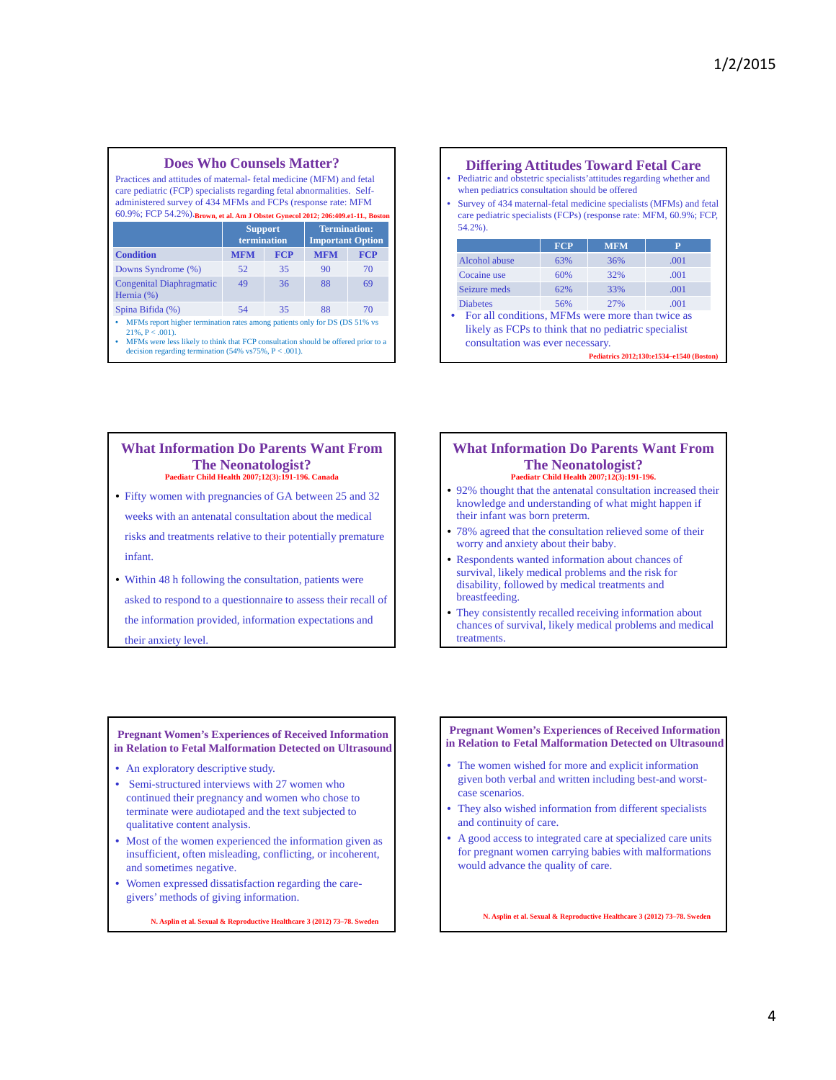### **Does Who Counsels Matter?**

Practices and attitudes of maternal- fetal medicine (MFM) and fetal care pediatric (FCP) specialists regarding fetal abnormalities. Selfadministered survey of 434 MFMs and FCPs (response rate: MFM 60.9%; FCP 54.2%). **Brown, et al. Am J Obstet Gynecol 2012; 206:409.e1-11., Boston**

|                                               | <b>Support</b><br>termination |            | <b>Termination:</b><br><b>Important Option</b> |            |  |  |  |  |
|-----------------------------------------------|-------------------------------|------------|------------------------------------------------|------------|--|--|--|--|
| <b>Condition</b>                              | <b>MFM</b>                    | <b>FCP</b> | <b>MFM</b>                                     | <b>FCP</b> |  |  |  |  |
| Downs Syndrome (%)                            | 52                            | 35         | 90                                             | 70         |  |  |  |  |
| <b>Congenital Diaphragmatic</b><br>Hernia (%) | 49                            | 36         | 88                                             | 69         |  |  |  |  |
| Spina Bifida (%)                              | 54                            | 35         | 88                                             | 70         |  |  |  |  |
| _______                                       |                               |            |                                                |            |  |  |  |  |

• MFMs report higher termination rates among patients only for DS (DS 51% vs  $21\%, P < .001$ ).

• MFMs were less likely to think that FCP consultation should be offered prior to a decision regarding termination  $(54\% \text{ vs } 75\%, \text{ P} < .001)$ .

### **Differing Attitudes Toward Fetal Care FCP** MFM Alcohol abuse 63% 36% .001 Cocaine use 60% 32% .001 Seizure meds 62% 33% .001 Diabetes 56% 27% .001 • Pediatric and obstetric specialists'attitudes regarding whether and when pediatrics consultation should be offered • Survey of 434 maternal-fetal medicine specialists (MFMs) and fetal care pediatric specialists (FCPs) (response rate: MFM, 60.9%; FCP, 54.2%). • For all conditions, MFMs were more than twice as likely as FCPs to think that no pediatric specialist consultation was ever necessary. **Pediatrics 2012;130:e1534–e1540 (Boston)**

#### **What Information Do Parents Want From The Neonatologist? Paediatr Child Health 2007;12(3):191-196. Canada**

- Fifty women with pregnancies of GA between 25 and 32 weeks with an antenatal consultation about the medical risks and treatments relative to their potentially premature infant.
- Within 48 h following the consultation, patients were asked to respond to a questionnaire to assess their recall of the information provided, information expectations and their anxiety level.

#### **What Information Do Parents Want From The Neonatologist? Paediatr Child Health 2007;12(3):191-196.**

- 92% thought that the antenatal consultation increased their knowledge and understanding of what might happen if their infant was born preterm.
- 78% agreed that the consultation relieved some of their worry and anxiety about their baby.
- Respondents wanted information about chances of survival, likely medical problems and the risk for disability, followed by medical treatments and breastfeeding.
- They consistently recalled receiving information about chances of survival, likely medical problems and medical treatments.

#### **Pregnant Women's Experiences of Received Information in Relation to Fetal Malformation Detected on Ultrasound**

- An exploratory descriptive study.
- Semi-structured interviews with 27 women who continued their pregnancy and women who chose to terminate were audiotaped and the text subjected to qualitative content analysis.
- Most of the women experienced the information given as insufficient, often misleading, conflicting, or incoherent, and sometimes negative.
- Women expressed dissatisfaction regarding the caregivers' methods of giving information.

**N. Asplin et al. Sexual & Reproductive Healthcare 3 (2012) 73–78. Sweden**

#### **Pregnant Women's Experiences of Received Information in Relation to Fetal Malformation Detected on Ultrasound**

- The women wished for more and explicit information given both verbal and written including best-and worstcase scenarios.
- They also wished information from different specialists and continuity of care.
- A good access to integrated care at specialized care units for pregnant women carrying babies with malformations would advance the quality of care.

**N. Asplin et al. Sexual & Reproductive Healthcare 3 (2012) 73–78. Sweden**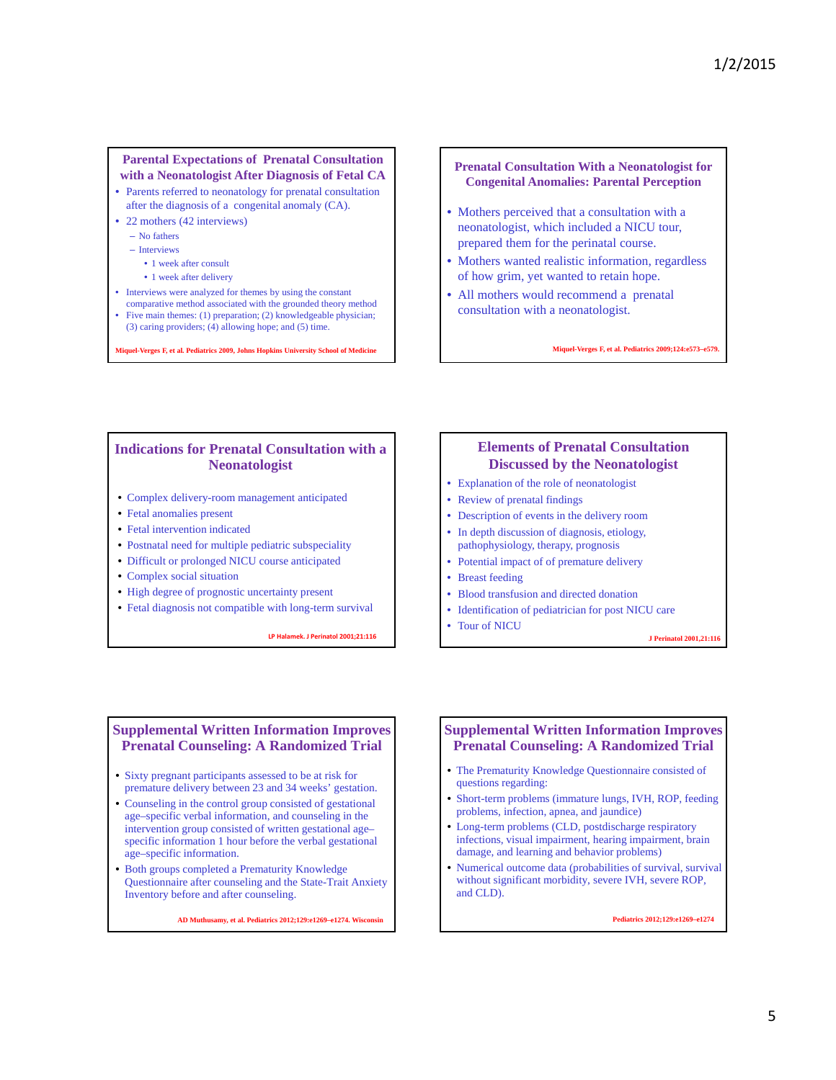### **Parental Expectations of Prenatal Consultation with a Neonatologist After Diagnosis of Fetal CA**

- Parents referred to neonatology for prenatal consultation after the diagnosis of a congenital anomaly (CA).
- 22 mothers (42 interviews)
	- No fathers
	- Interviews
		- 1 week after consult
		- 1 week after delivery
- Interviews were analyzed for themes by using the constant
- comparative method associated with the grounded theory method • Five main themes: (1) preparation; (2) knowledgeable physician;
- (3) caring providers; (4) allowing hope; and (5) time.

**Miquel-Verges F, et al. Pediatrics 2009, Johns Hopkins University School of Medicine**

**Prenatal Consultation With a Neonatologist for Congenital Anomalies: Parental Perception**

- Mothers perceived that a consultation with a neonatologist, which included a NICU tour, prepared them for the perinatal course.
- Mothers wanted realistic information, regardless of how grim, yet wanted to retain hope.
- All mothers would recommend a prenatal consultation with a neonatologist.

**Miquel-Verges F, et al. Pediatrics 2009;124:e573–e579.** 

### **Indications for Prenatal Consultation with a Neonatologist**

- Complex delivery-room management anticipated
- Fetal anomalies present
- Fetal intervention indicated
- Postnatal need for multiple pediatric subspeciality
- Difficult or prolonged NICU course anticipated
- Complex social situation
- High degree of prognostic uncertainty present
- Fetal diagnosis not compatible with long-term survival

**LP Halamek. J Perinatol 2001;21:116**

## **Elements of Prenatal Consultation Discussed by the Neonatologist**

- Explanation of the role of neonatologist
- Review of prenatal findings
- Description of events in the delivery room
- In depth discussion of diagnosis, etiology, pathophysiology, therapy, prognosis
- Potential impact of of premature delivery
- Breast feeding

• Tour of NICU

- Blood transfusion and directed donation
- Identification of pediatrician for post NICU care

**J Perinatol 2001,21:116**

# **Supplemental Written Information Improves Prenatal Counseling: A Randomized Trial**

- Sixty pregnant participants assessed to be at risk for premature delivery between 23 and 34 weeks' gestation.
- Counseling in the control group consisted of gestational age–specific verbal information, and counseling in the intervention group consisted of written gestational age– specific information 1 hour before the verbal gestational age–specific information.
- Both groups completed a Prematurity Knowledge Questionnaire after counseling and the State-Trait Anxiety Inventory before and after counseling.

**AD Muthusamy, et al. Pediatrics 2012;129:e1269–e1274. Wisconsin**

### **Supplemental Written Information Improves Prenatal Counseling: A Randomized Trial**

- The Prematurity Knowledge Questionnaire consisted of questions regarding:
- Short-term problems (immature lungs, IVH, ROP, feeding problems, infection, apnea, and jaundice)
- Long-term problems (CLD, postdischarge respiratory infections, visual impairment, hearing impairment, brain damage, and learning and behavior problems)
- Numerical outcome data (probabilities of survival, survival without significant morbidity, severe IVH, severe ROP, and CLD).

**Pediatrics 2012;129:e1269–e1274**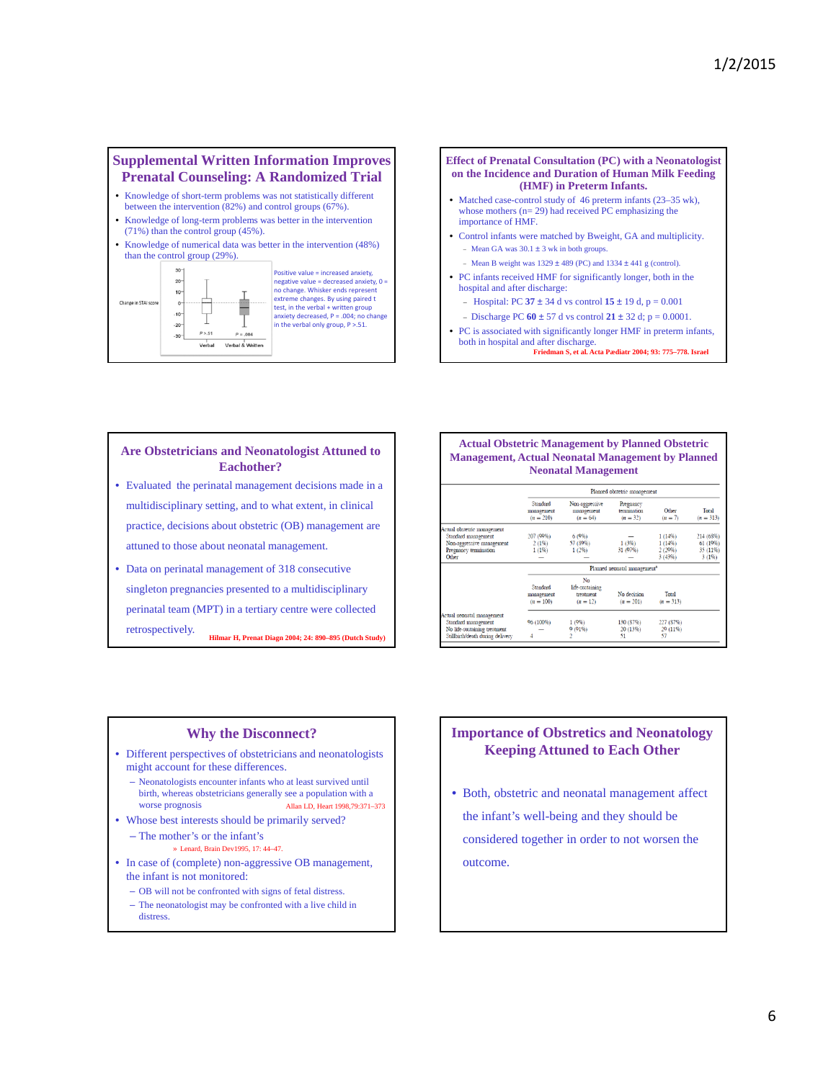## **Supplemental Written Information Improves Prenatal Counseling: A Randomized Trial**

- Knowledge of short-term problems was not statistically different between the intervention (82%) and control groups (67%).
- Knowledge of long-term problems was better in the intervention (71%) than the control group (45%).





#### **Effect of Prenatal Consultation (PC) with a Neonatologist on the Incidence and Duration of Human Milk Feeding (HMF) in Preterm Infants.** • Matched case-control study of 46 preterm infants (23–35 wk), whose mothers (n= 29) had received PC emphasizing the importance of HMF.

- Control infants were matched by Bweight, GA and multiplicity. - Mean GA was  $30.1 \pm 3$  wk in both groups.
	- Mean B weight was  $1329 \pm 489$  (PC) and  $1334 \pm 441$  g (control).
- PC infants received HMF for significantly longer, both in the hospital and after discharge:
	- Hospital: PC  $37 \pm 34$  d vs control  $15 \pm 19$  d, p = 0.001
	- $-$  Discharge PC  $60 \pm 57$  d vs control  $21 \pm 32$  d;  $p = 0.0001$ .
- PC is associated with significantly longer HMF in preterm infants, both in hospital and after discharge. **Friedman S, et al. Acta Pædiatr 2004; 93: 775–778. Israel**

### **Are Obstetricians and Neonatologist Attuned to Eachother?**

- Evaluated the perinatal management decisions made in a multidisciplinary setting, and to what extent, in clinical practice, decisions about obstetric (OB) management are attuned to those about neonatal management.
- Data on perinatal management of 318 consecutive singleton pregnancies presented to a multidisciplinary perinatal team (MPT) in a tertiary centre were collected retrospectively. **Hilmar H, Prenat Diagn 2004; 24: 890–895 (Dutch Study)**

### **Actual Obstetric Management by Planned Obstetric Management, Actual Neonatal Management by Planned Neonatal Management**

|                                                                                                                       | Planned obstetric management             |                                                  |                                        |                             |                      |  |  |
|-----------------------------------------------------------------------------------------------------------------------|------------------------------------------|--------------------------------------------------|----------------------------------------|-----------------------------|----------------------|--|--|
|                                                                                                                       | Standard<br>management<br>$(n = 210)$    | Non-aggressive<br>management<br>$(n = 64)$       | Pregnancy<br>termination<br>$(n = 32)$ | Other<br>$(n = 7)$          | Total<br>$(n = 313)$ |  |  |
| Actual obstetric management<br>Standard management                                                                    | 207 (99%)                                | 6(9%)                                            |                                        | 1(14%)                      | 214 (68%)            |  |  |
| Non-aggressive management                                                                                             | $2(1\%)$                                 | 57 (89%)                                         | 1(3%)                                  | $1(14\%)$                   | 61(19%)              |  |  |
| Pregnancy termination<br>Other                                                                                        | $1(1\%)$                                 | 1(2%)                                            | 31 (97%)                               | 2(29%)<br>3(43%)            | 35 (11%)<br>3(1%)    |  |  |
|                                                                                                                       | Planned neonatal management <sup>3</sup> |                                                  |                                        |                             |                      |  |  |
|                                                                                                                       | Standard<br>management<br>$(n = 100)$    | No<br>life-sustaining<br>treatment<br>$(n = 12)$ | No decision<br>$(n = 201)$             | Total<br>$(n = 313)$        |                      |  |  |
| Actual neonatal management<br>Standard management<br>No life-sustaining treatment<br>Stillbirth/death during delivery | 96 (100%)<br>4                           | 1(9%)<br>$9(91\%)$                               | 130 (87%)<br>20 (13%)<br>51            | 227 (87%)<br>29 (11%)<br>57 |                      |  |  |

## **Why the Disconnect?**

- Different perspectives of obstetricians and neonatologists might account for these differences.
	- Neonatologists encounter infants who at least survived until birth, whereas obstetricians generally see a population with a worse prognosis Allan LD, Heart 1998,79:371–373
- Whose best interests should be primarily served?
	- The mother's or the infant's
		- » Lenard, Brain Dev1995, 17: 44–47.
- In case of (complete) non-aggressive OB management, the infant is not monitored:
	- OB will not be confronted with signs of fetal distress.
	- The neonatologist may be confronted with a live child in distress.

# **Importance of Obstretics and Neonatology Keeping Attuned to Each Other**

• Both, obstetric and neonatal management affect the infant's well-being and they should be considered together in order to not worsen the outcome.